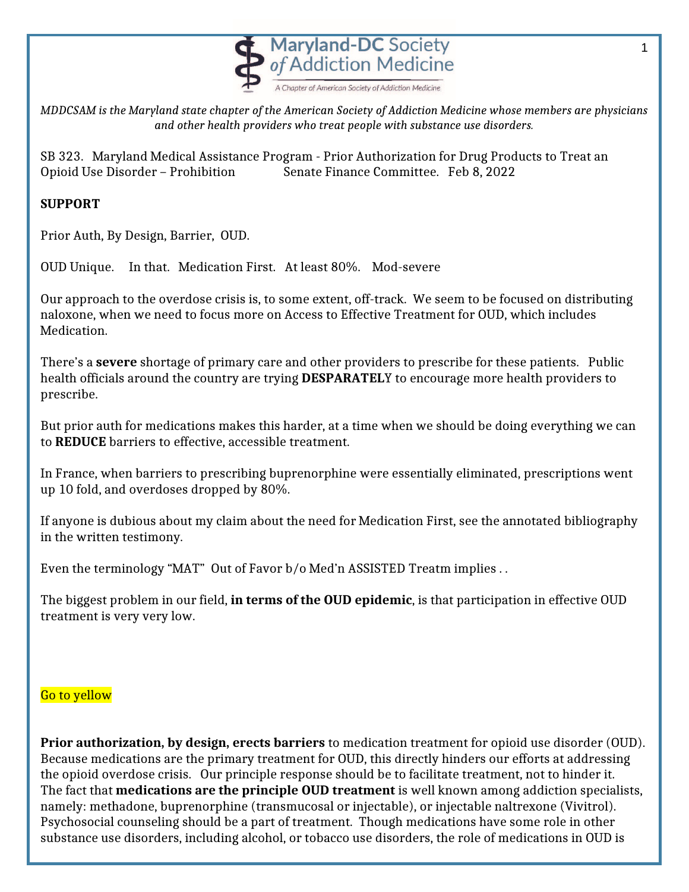

*MDDCSAM is the Maryland state chapter of the American Society of Addiction Medicine whose members are physicians and other health providers who treat people with substance use disorders.*

SB 323. Maryland Medical Assistance Program - Prior Authorization for Drug Products to Treat an Opioid Use Disorder – Prohibition Senate Finance Committee. Feb 8, 2022

## **SUPPORT**

Prior Auth, By Design, Barrier, OUD.

OUD Unique. In that. Medication First. At least 80%. Mod-severe

Our approach to the overdose crisis is, to some extent, off-track. We seem to be focused on distributing naloxone, when we need to focus more on Access to Effective Treatment for OUD, which includes Medication.

There's a **severe** shortage of primary care and other providers to prescribe for these patients. Public health officials around the country are trying **DESPARATEL**Y to encourage more health providers to prescribe.

But prior auth for medications makes this harder, at a time when we should be doing everything we can to **REDUCE** barriers to effective, accessible treatment.

In France, when barriers to prescribing buprenorphine were essentially eliminated, prescriptions went up 10 fold, and overdoses dropped by 80%.

If anyone is dubious about my claim about the need for Medication First, see the annotated bibliography in the written testimony.

Even the terminology "MAT" Out of Favor b/o Med'n ASSISTED Treatm implies . .

The biggest problem in our field, **in terms of the OUD epidemic**, is that participation in effective OUD treatment is very very low.

## Go to yellow

**Prior authorization, by design, erects barriers** to medication treatment for opioid use disorder (OUD). Because medications are the primary treatment for OUD, this directly hinders our efforts at addressing the opioid overdose crisis. Our principle response should be to facilitate treatment, not to hinder it. The fact that **medications are the principle OUD treatment** is well known among addiction specialists, namely: methadone, buprenorphine (transmucosal or injectable), or injectable naltrexone (Vivitrol). Psychosocial counseling should be a part of treatment. Though medications have some role in other substance use disorders, including alcohol, or tobacco use disorders, the role of medications in OUD is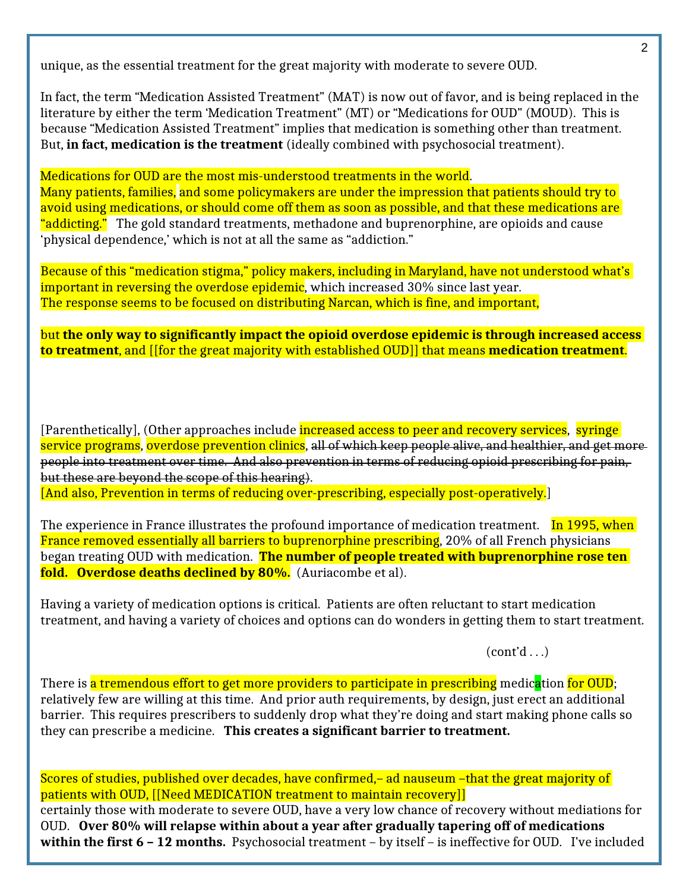unique, as the essential treatment for the great majority with moderate to severe OUD.

In fact, the term "Medication Assisted Treatment" (MAT) is now out of favor, and is being replaced in the literature by either the term 'Medication Treatment" (MT) or "Medications for OUD" (MOUD). This is because "Medication Assisted Treatment" implies that medication is something other than treatment. But, **in fact, medication is the treatment** (ideally combined with psychosocial treatment).

Medications for OUD are the most mis-understood treatments in the world. Many patients, families, and some policymakers are under the impression that patients should try to avoid using medications, or should come off them as soon as possible, and that these medications are "addicting." The gold standard treatments, methadone and buprenorphine, are opioids and cause 'physical dependence,' which is not at all the same as "addiction."

Because of this "medication stigma," policy makers, including in Maryland, have not understood what's important in reversing the overdose epidemic, which increased 30% since last year. The response seems to be focused on distributing Narcan, which is fine, and important,

but **the only way to significantly impact the opioid overdose epidemic is through increased access to treatment**, and [[for the great majority with established OUD]] that means **medication treatment**.

[Parenthetically], (Other approaches include <mark>increased access to peer and recovery services</mark>, syringe service programs, overdose prevention clinics, all of which keep people alive, and healthier, and get more people into treatment over time. And also prevention in terms of reducing opioid prescribing for pain, but these are beyond the scope of this hearing).

[And also, Prevention in terms of reducing over-prescribing, especially post-operatively.]

The experience in France illustrates the profound importance of medication treatment. In 1995, when France removed essentially all barriers to buprenorphine prescribing, 20% of all French physicians began treating OUD with medication. **The number of people treated with buprenorphine rose ten fold. Overdose deaths declined by 80%.** (Auriacombe et al).

Having a variety of medication options is critical. Patients are often reluctant to start medication treatment, and having a variety of choices and options can do wonders in getting them to start treatment.

 $(cont'd \dots)$ 

There is a tremendous effort to get more providers to participate in prescribing medication for OUD; relatively few are willing at this time. And prior auth requirements, by design, just erect an additional barrier. This requires prescribers to suddenly drop what they're doing and start making phone calls so they can prescribe a medicine. **This creates a significant barrier to treatment.**

Scores of studies, published over decades, have confirmed,– ad nauseum –that the great majority of patients with OUD, [[Need MEDICATION treatment to maintain recovery]] certainly those with moderate to severe OUD, have a very low chance of recovery without mediations for OUD. **Over 80% will relapse within about a year after gradually tapering off of medications**  within the first 6 - 12 months. Psychosocial treatment - by itself - is ineffective for OUD. I've included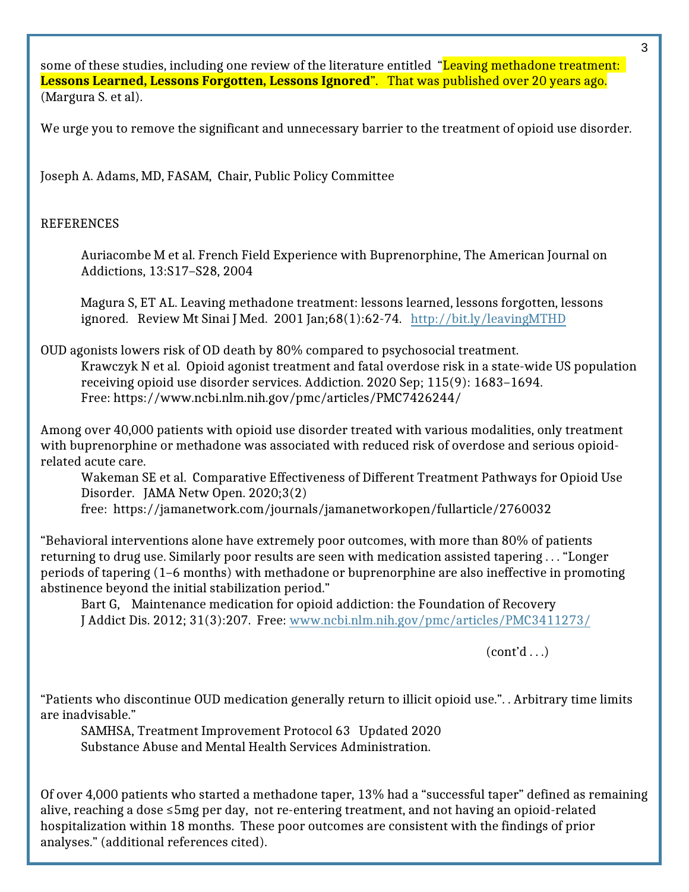some of these studies, including one review of the literature entitled "<mark>Leaving methadone treatment:</mark> **Lessons Learned, Lessons Forgotten, Lessons Ignored**". That was published over 20 years ago. (Margura S. et al).

We urge you to remove the significant and unnecessary barrier to the treatment of opioid use disorder.

Joseph A. Adams, MD, FASAM, Chair, Public Policy Committee

## REFERENCES

Auriacombe M et al. French Field Experience with Buprenorphine, The American Journal on Addictions, 13:S17–S28, 2004

Magura S, ET AL. Leaving methadone treatment: lessons learned, lessons forgotten, lessons ignored. Review Mt Sinai J Med. 2001 Jan;68(1):62-74. <http://bit.ly/leavingMTHD>

OUD agonists lowers risk of OD death by 80% compared to psychosocial treatment. Krawczyk N et al. Opioid agonist treatment and fatal overdose risk in a state-wide US population receiving opioid use disorder services. Addiction. 2020 Sep; 115(9): 1683–1694. Free: https://www.ncbi.nlm.nih.gov/pmc/articles/PMC7426244/

Among over 40,000 patients with opioid use disorder treated with various modalities, only treatment with buprenorphine or methadone was associated with reduced risk of overdose and serious opioidrelated acute care.

Wakeman SE et al. Comparative Effectiveness of Different Treatment Pathways for Opioid Use Disorder. JAMA Netw Open. 2020;3(2)

free: https://jamanetwork.com/journals/jamanetworkopen/fullarticle/2760032

"Behavioral interventions alone have extremely poor outcomes, with more than 80% of patients returning to drug use. Similarly poor results are seen with medication assisted tapering . . . "Longer periods of tapering (1–6 months) with methadone or buprenorphine are also ineffective in promoting abstinence beyond the initial stabilization period."

Bart G, Maintenance medication for opioid addiction: the Foundation of Recovery J Addict Dis. 2012; 31(3):207. Free: [www.ncbi.nlm.nih.gov/pmc/articles/PMC3411273/](http://www.ncbi.nlm.nih.gov/pmc/articles/PMC3411273/)

 $(cont'd \dots)$ 

"Patients who discontinue OUD medication generally return to illicit opioid use.". . Arbitrary time limits are inadvisable."

SAMHSA, Treatment Improvement Protocol 63 Updated 2020 Substance Abuse and Mental Health Services Administration.

Of over 4,000 patients who started a methadone taper, 13% had a "successful taper" defined as remaining alive, reaching a dose ≤5mg per day, not re-entering treatment, and not having an opioid-related hospitalization within 18 months. These poor outcomes are consistent with the findings of prior analyses." (additional references cited).